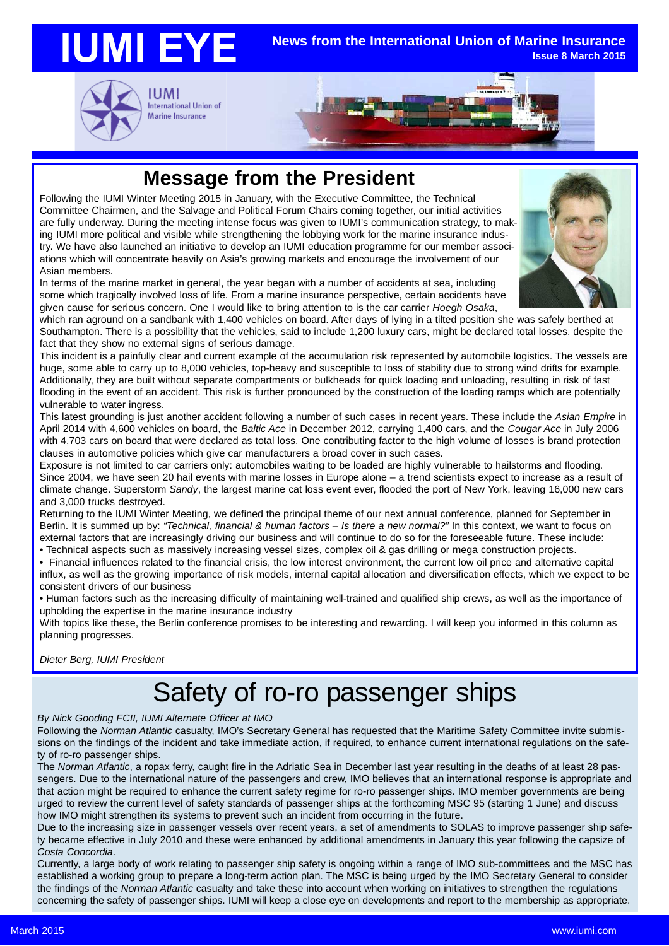#### **IUMI EYE News from the International Union of Marine Insurance Issue 8 March 2015**



International Union of Marine Insurance



### **Message from the President**

Following the IUMI Winter Meeting 2015 in January, with the Executive Committee, the Technical Committee Chairmen, and the Salvage and Political Forum Chairs coming together, our initial activities are fully underway. During the meeting intense focus was given to IUMI's communication strategy, to making IUMI more political and visible while strengthening the lobbying work for the marine insurance industry. We have also launched an initiative to develop an IUMI education programme for our member associations which will concentrate heavily on Asia's growing markets and encourage the involvement of our Asian members.

In terms of the marine market in general, the year began with a number of accidents at sea, including some which tragically involved loss of life. From a marine insurance perspective, certain accidents have given cause for serious concern. One I would like to bring attention to is the car carrier *Hoegh Osaka*,

which ran aground on a sandbank with 1,400 vehicles on board. After days of lying in a tilted position she was safely berthed at Southampton. There is a possibility that the vehicles, said to include 1,200 luxury cars, might be declared total losses, despite the fact that they show no external signs of serious damage.

This incident is a painfully clear and current example of the accumulation risk represented by automobile logistics. The vessels are huge, some able to carry up to 8,000 vehicles, top-heavy and susceptible to loss of stability due to strong wind drifts for example. Additionally, they are built without separate compartments or bulkheads for quick loading and unloading, resulting in risk of fast flooding in the event of an accident. This risk is further pronounced by the construction of the loading ramps which are potentially vulnerable to water ingress.

This latest grounding is just another accident following a number of such cases in recent years. These include the *Asian Empire* in April 2014 with 4,600 vehicles on board, the *Baltic Ace* in December 2012, carrying 1,400 cars, and the *Cougar Ace* in July 2006 with 4,703 cars on board that were declared as total loss. One contributing factor to the high volume of losses is brand protection clauses in automotive policies which give car manufacturers a broad cover in such cases.

Exposure is not limited to car carriers only: automobiles waiting to be loaded are highly vulnerable to hailstorms and flooding. Since 2004, we have seen 20 hail events with marine losses in Europe alone – a trend scientists expect to increase as a result of climate change. Superstorm *Sandy*, the largest marine cat loss event ever, flooded the port of New York, leaving 16,000 new cars and 3,000 trucks destroyed.

Returning to the IUMI Winter Meeting, we defined the principal theme of our next annual conference, planned for September in Berlin. It is summed up by: *"Technical, financial & human factors – Is there a new normal?"* In this context, we want to focus on external factors that are increasingly driving our business and will continue to do so for the foreseeable future. These include: • Technical aspects such as massively increasing vessel sizes, complex oil & gas drilling or mega construction projects.

• Financial influences related to the financial crisis, the low interest environment, the current low oil price and alternative capital

influx, as well as the growing importance of risk models, internal capital allocation and diversification effects, which we expect to be consistent drivers of our business

• Human factors such as the increasing difficulty of maintaining well-trained and qualified ship crews, as well as the importance of upholding the expertise in the marine insurance industry

With topics like these, the Berlin conference promises to be interesting and rewarding. I will keep you informed in this column as planning progresses.

*Dieter Berg, IUMI President*

# Safety of ro-ro passenger ships

#### *By Nick Gooding FCII, IUMI Alternate Officer at IMO*

Following the *Norman Atlantic* casualty, IMO's Secretary General has requested that the Maritime Safety Committee invite submissions on the findings of the incident and take immediate action, if required, to enhance current international regulations on the safety of ro-ro passenger ships.

The *Norman Atlantic*, a ropax ferry, caught fire in the Adriatic Sea in December last year resulting in the deaths of at least 28 passengers. Due to the international nature of the passengers and crew, IMO believes that an international response is appropriate and that action might be required to enhance the current safety regime for ro-ro passenger ships. IMO member governments are being urged to review the current level of safety standards of passenger ships at the forthcoming MSC 95 (starting 1 June) and discuss how IMO might strengthen its systems to prevent such an incident from occurring in the future.

Due to the increasing size in passenger vessels over recent years, a set of amendments to SOLAS to improve passenger ship safety became effective in July 2010 and these were enhanced by additional amendments in January this year following the capsize of *Costa Concordia*.

Currently, a large body of work relating to passenger ship safety is ongoing within a range of IMO sub-committees and the MSC has established a working group to prepare a long-term action plan. The MSC is being urged by the IMO Secretary General to consider the findings of the *Norman Atlantic* casualty and take these into account when working on initiatives to strengthen the regulations concerning the safety of passenger ships. IUMI will keep a close eye on developments and report to the membership as appropriate.

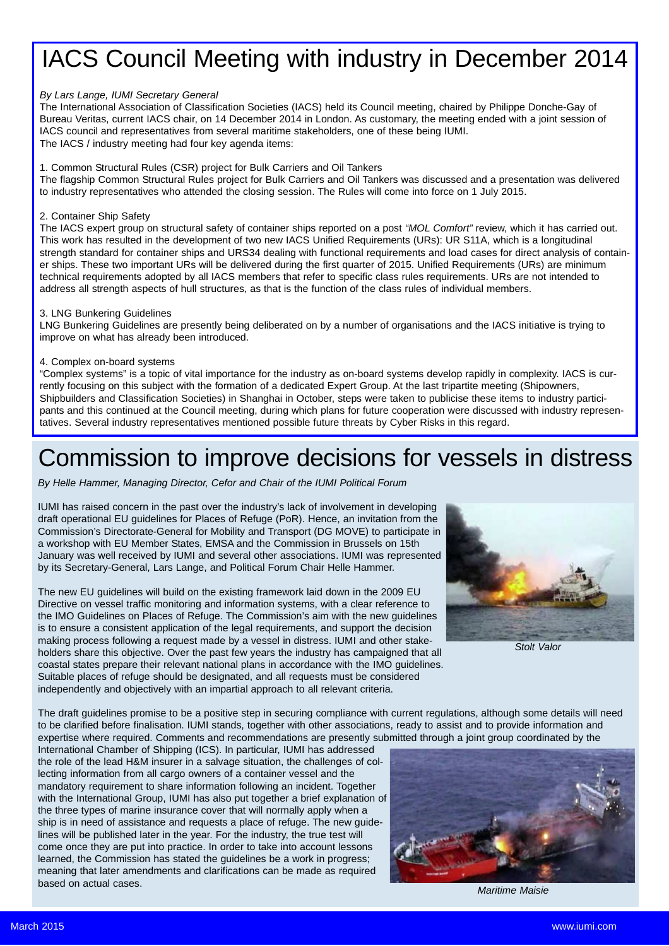## IACS Council Meeting with industry in December 2014

#### *By Lars Lange, IUMI Secretary General*

The International Association of Classification Societies (IACS) held its Council meeting, chaired by Philippe Donche-Gay of Bureau Veritas, current IACS chair, on 14 December 2014 in London. As customary, the meeting ended with a joint session of IACS council and representatives from several maritime stakeholders, one of these being IUMI. The IACS / industry meeting had four key agenda items:

### 1. Common Structural Rules (CSR) project for Bulk Carriers and Oil Tankers

The flagship Common Structural Rules project for Bulk Carriers and Oil Tankers was discussed and a presentation was delivered to industry representatives who attended the closing session. The Rules will come into force on 1 July 2015.

### 2. Container Ship Safety

The IACS expert group on structural safety of container ships reported on a post *"MOL Comfort"* review, which it has carried out. This work has resulted in the development of two new IACS Unified Requirements (URs): UR S11A, which is a longitudinal strength standard for container ships and URS34 dealing with functional requirements and load cases for direct analysis of container ships. These two important URs will be delivered during the first quarter of 2015. Unified Requirements (URs) are minimum technical requirements adopted by all IACS members that refer to specific class rules requirements. URs are not intended to address all strength aspects of hull structures, as that is the function of the class rules of individual members.

#### 3. LNG Bunkering Guidelines

LNG Bunkering Guidelines are presently being deliberated on by a number of organisations and the IACS initiative is trying to improve on what has already been introduced.

### 4. Complex on-board systems

"Complex systems" is a topic of vital importance for the industry as on-board systems develop rapidly in complexity. IACS is currently focusing on this subject with the formation of a dedicated Expert Group. At the last tripartite meeting (Shipowners, Shipbuilders and Classification Societies) in Shanghai in October, steps were taken to publicise these items to industry participants and this continued at the Council meeting, during which plans for future cooperation were discussed with industry representatives. Several industry representatives mentioned possible future threats by Cyber Risks in this regard.

### Commission to improve decisions for vessels in distress

*By Helle Hammer, Managing Director, Cefor and Chair of the IUMI Political Forum*

IUMI has raised concern in the past over the industry's lack of involvement in developing draft operational EU guidelines for Places of Refuge (PoR). Hence, an invitation from the Commission's Directorate-General for Mobility and Transport (DG MOVE) to participate in a workshop with EU Member States, EMSA and the Commission in Brussels on 15th January was well received by IUMI and several other associations. IUMI was represented by its Secretary-General, Lars Lange, and Political Forum Chair Helle Hammer.

The new EU guidelines will build on the existing framework laid down in the 2009 EU Directive on vessel traffic monitoring and information systems, with a clear reference to the IMO Guidelines on Places of Refuge. The Commission's aim with the new guidelines is to ensure a consistent application of the legal requirements, and support the decision making process following a request made by a vessel in distress. IUMI and other stakeholders share this objective. Over the past few years the industry has campaigned that all coastal states prepare their relevant national plans in accordance with the IMO guidelines. Suitable places of refuge should be designated, and all requests must be considered independently and objectively with an impartial approach to all relevant criteria.



*Stolt Valor*

The draft guidelines promise to be a positive step in securing compliance with current regulations, although some details will need to be clarified before finalisation. IUMI stands, together with other associations, ready to assist and to provide information and expertise where required. Comments and recommendations are presently submitted through a joint group coordinated by the

International Chamber of Shipping (ICS). In particular, IUMI has addressed the role of the lead H&M insurer in a salvage situation, the challenges of collecting information from all cargo owners of a container vessel and the mandatory requirement to share information following an incident. Together with the International Group, IUMI has also put together a brief explanation of the three types of marine insurance cover that will normally apply when a ship is in need of assistance and requests a place of refuge. The new guidelines will be published later in the year. For the industry, the true test will come once they are put into practice. In order to take into account lessons learned, the Commission has stated the guidelines be a work in progress; meaning that later amendments and clarifications can be made as required based on actual cases.



*Maritime Maisie*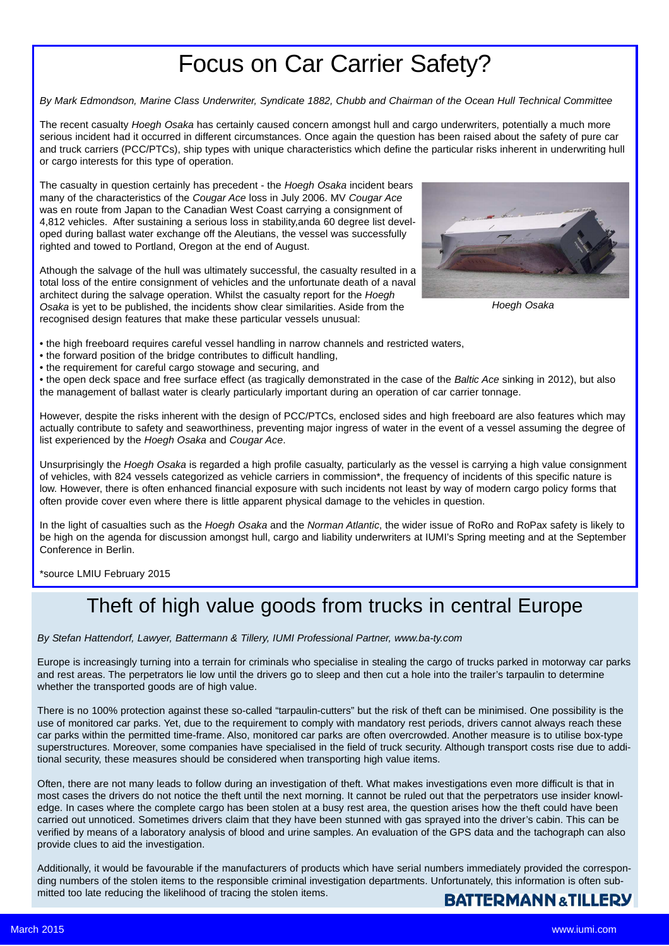## Focus on Car Carrier Safety?

*By Mark Edmondson, Marine Class Underwriter, Syndicate 1882, Chubb and Chairman of the Ocean Hull Technical Committee*

The recent casualty *Hoegh Osaka* has certainly caused concern amongst hull and cargo underwriters, potentially a much more serious incident had it occurred in different circumstances. Once again the question has been raised about the safety of pure car and truck carriers (PCC/PTCs), ship types with unique characteristics which define the particular risks inherent in underwriting hull or cargo interests for this type of operation.

The casualty in question certainly has precedent - the *Hoegh Osaka* incident bears many of the characteristics of the *Cougar Ace* loss in July 2006. MV *Cougar Ace* was en route from Japan to the Canadian West Coast carrying a consignment of 4,812 vehicles. After sustaining a serious loss in stability,anda 60 degree list developed during ballast water exchange off the Aleutians, the vessel was successfully righted and towed to Portland, Oregon at the end of August.

Athough the salvage of the hull was ultimately successful, the casualty resulted in a total loss of the entire consignment of vehicles and the unfortunate death of a naval architect during the salvage operation. Whilst the casualty report for the *Hoegh Osaka* is yet to be published, the incidents show clear similarities. Aside from the recognised design features that make these particular vessels unusual:



*Hoegh Osaka*

• the high freeboard requires careful vessel handling in narrow channels and restricted waters,

- the forward position of the bridge contributes to difficult handling,
- the requirement for careful cargo stowage and securing, and

• the open deck space and free surface effect (as tragically demonstrated in the case of the *Baltic Ace* sinking in 2012), but also the management of ballast water is clearly particularly important during an operation of car carrier tonnage.

However, despite the risks inherent with the design of PCC/PTCs, enclosed sides and high freeboard are also features which may actually contribute to safety and seaworthiness, preventing major ingress of water in the event of a vessel assuming the degree of list experienced by the *Hoegh Osaka* and *Cougar Ace*.

Unsurprisingly the *Hoegh Osaka* is regarded a high profile casualty, particularly as the vessel is carrying a high value consignment of vehicles, with 824 vessels categorized as vehicle carriers in commission\*, the frequency of incidents of this specific nature is low. However, there is often enhanced financial exposure with such incidents not least by way of modern cargo policy forms that often provide cover even where there is little apparent physical damage to the vehicles in question.

In the light of casualties such as the *Hoegh Osaka* and the *Norman Atlantic*, the wider issue of RoRo and RoPax safety is likely to be high on the agenda for discussion amongst hull, cargo and liability underwriters at IUMI's Spring meeting and at the September Conference in Berlin.

\*source LMIU February 2015

### Theft of high value goods from trucks in central Europe

*By Stefan Hattendorf, Lawyer, Battermann & Tillery, IUMI Professional Partner, www.ba-ty.com*

Europe is increasingly turning into a terrain for criminals who specialise in stealing the cargo of trucks parked in motorway car parks and rest areas. The perpetrators lie low until the drivers go to sleep and then cut a hole into the trailer's tarpaulin to determine whether the transported goods are of high value.

There is no 100% protection against these so-called "tarpaulin-cutters" but the risk of theft can be minimised. One possibility is the use of monitored car parks. Yet, due to the requirement to comply with mandatory rest periods, drivers cannot always reach these car parks within the permitted time-frame. Also, monitored car parks are often overcrowded. Another measure is to utilise box-type superstructures. Moreover, some companies have specialised in the field of truck security. Although transport costs rise due to additional security, these measures should be considered when transporting high value items.

Often, there are not many leads to follow during an investigation of theft. What makes investigations even more difficult is that in most cases the drivers do not notice the theft until the next morning. It cannot be ruled out that the perpetrators use insider knowledge. In cases where the complete cargo has been stolen at a busy rest area, the question arises how the theft could have been carried out unnoticed. Sometimes drivers claim that they have been stunned with gas sprayed into the driver's cabin. This can be verified by means of a laboratory analysis of blood and urine samples. An evaluation of the GPS data and the tachograph can also provide clues to aid the investigation.

Additionally, it would be favourable if the manufacturers of products which have serial numbers immediately provided the corresponding numbers of the stolen items to the responsible criminal investigation departments. Unfortunately, this information is often submitted too late reducing the likelihood of tracing the stolen items.

### **BATTERMANN & TILLERY**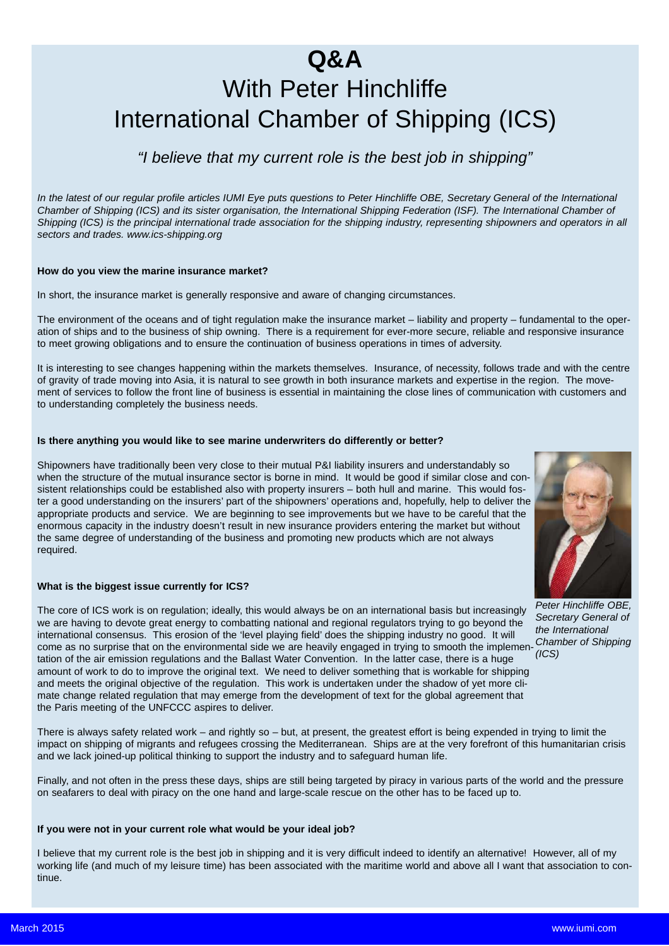## **Q&A** With Peter Hinchliffe International Chamber of Shipping (ICS)

### *"I believe that my current role is the best job in shipping"*

*In the latest of our regular profile articles IUMI Eye puts questions to Peter Hinchliffe OBE, Secretary General of the International Chamber of Shipping (ICS) and its sister organisation, the International Shipping Federation (ISF). The International Chamber of Shipping (ICS) is the principal international trade association for the shipping industry, representing shipowners and operators in all sectors and trades. www.ics-shipping.org*

#### **How do you view the marine insurance market?**

In short, the insurance market is generally responsive and aware of changing circumstances.

The environment of the oceans and of tight regulation make the insurance market – liability and property – fundamental to the operation of ships and to the business of ship owning. There is a requirement for ever-more secure, reliable and responsive insurance to meet growing obligations and to ensure the continuation of business operations in times of adversity.

It is interesting to see changes happening within the markets themselves. Insurance, of necessity, follows trade and with the centre of gravity of trade moving into Asia, it is natural to see growth in both insurance markets and expertise in the region. The movement of services to follow the front line of business is essential in maintaining the close lines of communication with customers and to understanding completely the business needs.

#### **Is there anything you would like to see marine underwriters do differently or better?**

Shipowners have traditionally been very close to their mutual P&I liability insurers and understandably so when the structure of the mutual insurance sector is borne in mind. It would be good if similar close and consistent relationships could be established also with property insurers – both hull and marine. This would foster a good understanding on the insurers' part of the shipowners' operations and, hopefully, help to deliver the appropriate products and service. We are beginning to see improvements but we have to be careful that the enormous capacity in the industry doesn't result in new insurance providers entering the market but without the same degree of understanding of the business and promoting new products which are not always required.

#### **What is the biggest issue currently for ICS?**

The core of ICS work is on regulation; ideally, this would always be on an international basis but increasingly we are having to devote great energy to combatting national and regional regulators trying to go beyond the international consensus. This erosion of the 'level playing field' does the shipping industry no good. It will come as no surprise that on the environmental side we are heavily engaged in trying to smooth the implementation of the air emission regulations and the Ballast Water Convention. In the latter case, there is a huge amount of work to do to improve the original text. We need to deliver something that is workable for shipping and meets the original objective of the regulation. This work is undertaken under the shadow of yet more climate change related regulation that may emerge from the development of text for the global agreement that the Paris meeting of the UNFCCC aspires to deliver.

There is always safety related work – and rightly so – but, at present, the greatest effort is being expended in trying to limit the impact on shipping of migrants and refugees crossing the Mediterranean. Ships are at the very forefront of this humanitarian crisis and we lack joined-up political thinking to support the industry and to safeguard human life.

Finally, and not often in the press these days, ships are still being targeted by piracy in various parts of the world and the pressure on seafarers to deal with piracy on the one hand and large-scale rescue on the other has to be faced up to.

#### **If you were not in your current role what would be your ideal job?**

I believe that my current role is the best job in shipping and it is very difficult indeed to identify an alternative! However, all of my working life (and much of my leisure time) has been associated with the maritime world and above all I want that association to continue.



*Peter Hinchliffe OBE, Secretary General of the International Chamber of Shipping (ICS)*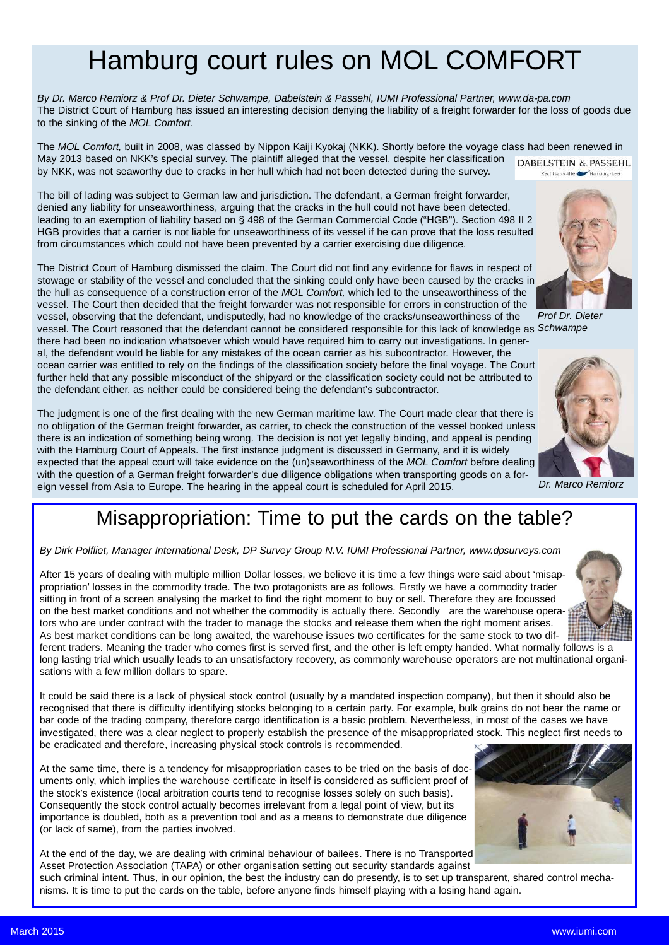## Hamburg court rules on MOL COMFORT

*By Dr. Marco Remiorz & Prof Dr. Dieter Schwampe, Dabelstein & Passehl, IUMI Professional Partner, www.da-pa.com* The District Court of Hamburg has issued an interesting decision denying the liability of a freight forwarder for the loss of goods due to the sinking of the *MOL Comfort.*

The *MOL Comfort,* built in 2008, was classed by Nippon Kaiji Kyokaj (NKK). Shortly before the voyage class had been renewed in May 2013 based on NKK's special survey. The plaintiff alleged that the vessel, despite her classification DABELSTEIN & PASSEHL by NKK, was not seaworthy due to cracks in her hull which had not been detected during the survey. Rechtsanwälte

The bill of lading was subject to German law and jurisdiction. The defendant, a German freight forwarder, denied any liability for unseaworthiness, arguing that the cracks in the hull could not have been detected, leading to an exemption of liability based on § 498 of the German Commercial Code ("HGB"). Section 498 II 2 HGB provides that a carrier is not liable for unseaworthiness of its vessel if he can prove that the loss resulted from circumstances which could not have been prevented by a carrier exercising due diligence.

The District Court of Hamburg dismissed the claim. The Court did not find any evidence for flaws in respect of stowage or stability of the vessel and concluded that the sinking could only have been caused by the cracks in the hull as consequence of a construction error of the *MOL Comfort,* which led to the unseaworthiness of the vessel. The Court then decided that the freight forwarder was not responsible for errors in construction of the vessel, observing that the defendant, undisputedly, had no knowledge of the cracks/unseaworthiness of the vessel. The Court reasoned that the defendant cannot be considered responsible for this lack of knowledge as *Schwampe* there had been no indication whatsoever which would have required him to carry out investigations. In general, the defendant would be liable for any mistakes of the ocean carrier as his subcontractor. However, the *Prof Dr. Dieter*

ocean carrier was entitled to rely on the findings of the classification society before the final voyage. The Court further held that any possible misconduct of the shipyard or the classification society could not be attributed to the defendant either, as neither could be considered being the defendant's subcontractor.

The judgment is one of the first dealing with the new German maritime law. The Court made clear that there is no obligation of the German freight forwarder, as carrier, to check the construction of the vessel booked unless there is an indication of something being wrong. The decision is not yet legally binding, and appeal is pending with the Hamburg Court of Appeals. The first instance judgment is discussed in Germany, and it is widely expected that the appeal court will take evidence on the (un)seaworthiness of the *MOL Comfort* before dealing with the question of a German freight forwarder's due diligence obligations when transporting goods on a foreign vessel from Asia to Europe. The hearing in the appeal court is scheduled for April 2015.

### Misappropriation: Time to put the cards on the table?

*By Dirk Polfliet, Manager International Desk, DP Survey Group N.V. IUMI Professional Partner, www.dpsurveys.com*

After 15 years of dealing with multiple million Dollar losses, we believe it is time a few things were said about 'misappropriation' losses in the commodity trade. The two protagonists are as follows. Firstly we have a commodity trader sitting in front of a screen analysing the market to find the right moment to buy or sell. Therefore they are focussed on the best market conditions and not whether the commodity is actually there. Secondly are the warehouse operators who are under contract with the trader to manage the stocks and release them when the right moment arises. As best market conditions can be long awaited, the warehouse issues two certificates for the same stock to two different traders. Meaning the trader who comes first is served first, and the other is left empty handed. What normally follows is a

long lasting trial which usually leads to an unsatisfactory recovery, as commonly warehouse operators are not multinational organisations with a few million dollars to spare.

It could be said there is a lack of physical stock control (usually by a mandated inspection company), but then it should also be recognised that there is difficulty identifying stocks belonging to a certain party. For example, bulk grains do not bear the name or bar code of the trading company, therefore cargo identification is a basic problem. Nevertheless, in most of the cases we have investigated, there was a clear neglect to properly establish the presence of the misappropriated stock. This neglect first needs to be eradicated and therefore, increasing physical stock controls is recommended.

At the same time, there is a tendency for misappropriation cases to be tried on the basis of documents only, which implies the warehouse certificate in itself is considered as sufficient proof of the stock's existence (local arbitration courts tend to recognise losses solely on such basis). Consequently the stock control actually becomes irrelevant from a legal point of view, but its importance is doubled, both as a prevention tool and as a means to demonstrate due diligence (or lack of same), from the parties involved.

At the end of the day, we are dealing with criminal behaviour of bailees. There is no Transported Asset Protection Association (TAPA) or other organisation setting out security standards against such criminal intent. Thus, in our opinion, the best the industry can do presently, is to set up transparent, shared control mecha-

nisms. It is time to put the cards on the table, before anyone finds himself playing with a losing hand again.











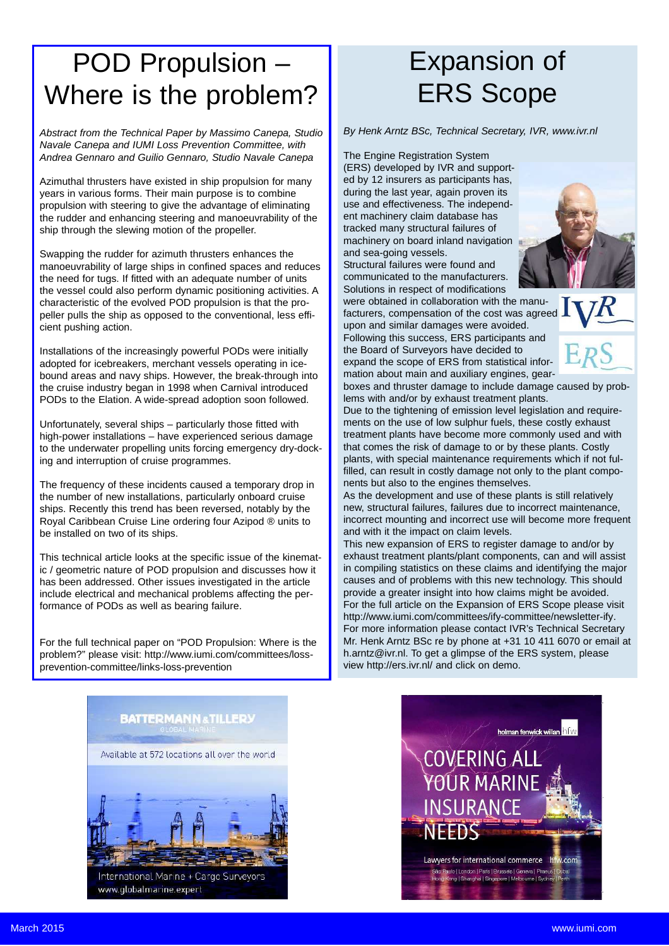## POD Propulsion – Where is the problem?

*Abstract from the Technical Paper by Massimo Canepa, Studio Navale Canepa and IUMI Loss Prevention Committee, with Andrea Gennaro and Guilio Gennaro, Studio Navale Canepa*

Azimuthal thrusters have existed in ship propulsion for many years in various forms. Their main purpose is to combine propulsion with steering to give the advantage of eliminating the rudder and enhancing steering and manoeuvrability of the ship through the slewing motion of the propeller.

Swapping the rudder for azimuth thrusters enhances the manoeuvrability of large ships in confined spaces and reduces the need for tugs. If fitted with an adequate number of units the vessel could also perform dynamic positioning activities. A characteristic of the evolved POD propulsion is that the propeller pulls the ship as opposed to the conventional, less efficient pushing action.

Installations of the increasingly powerful PODs were initially adopted for icebreakers, merchant vessels operating in icebound areas and navy ships. However, the break-through into the cruise industry began in 1998 when Carnival introduced PODs to the Elation. A wide-spread adoption soon followed.

Unfortunately, several ships – particularly those fitted with high-power installations – have experienced serious damage to the underwater propelling units forcing emergency dry-docking and interruption of cruise programmes.

The frequency of these incidents caused a temporary drop in the number of new installations, particularly onboard cruise ships. Recently this trend has been reversed, notably by the Royal Caribbean Cruise Line ordering four Azipod ® units to be installed on two of its ships.

This technical article looks at the specific issue of the kinematic / geometric nature of POD propulsion and discusses how it has been addressed. Other issues investigated in the article include electrical and mechanical problems affecting the performance of PODs as well as bearing failure.

For the full technical paper on "POD Propulsion: Where is the problem?" please visit: http://www.iumi.com/committees/lossprevention-committee/links-loss-prevention

# Expansion of ERS Scope

*By Henk Arntz BSc, Technical Secretary, IVR, www.ivr.nl*

The Engine Registration System

(ERS) developed by IVR and supported by 12 insurers as participants has, during the last year, again proven its use and effectiveness. The independent machinery claim database has tracked many structural failures of machinery on board inland navigation and sea-going vessels.

Structural failures were found and communicated to the manufacturers. Solutions in respect of modifications

were obtained in collaboration with the manufacturers, compensation of the cost was agreed upon and similar damages were avoided. Following this success, ERS participants and the Board of Surveyors have decided to expand the scope of ERS from statistical information about main and auxiliary engines, gear-





boxes and thruster damage to include damage caused by problems with and/or by exhaust treatment plants.

Due to the tightening of emission level legislation and requirements on the use of low sulphur fuels, these costly exhaust treatment plants have become more commonly used and with that comes the risk of damage to or by these plants. Costly plants, with special maintenance requirements which if not fulfilled, can result in costly damage not only to the plant components but also to the engines themselves.

As the development and use of these plants is still relatively new, structural failures, failures due to incorrect maintenance, incorrect mounting and incorrect use will become more frequent and with it the impact on claim levels.

This new expansion of ERS to register damage to and/or by exhaust treatment plants/plant components, can and will assist in compiling statistics on these claims and identifying the major causes and of problems with this new technology. This should provide a greater insight into how claims might be avoided. For the full article on the Expansion of ERS Scope please visit http://www.iumi.com/committees/ify-committee/newsletter-ify. For more information please contact IVR's Technical Secretary Mr. Henk Arntz BSc re by phone at +31 10 411 6070 or email at h.arntz@ivr.nl. To get a glimpse of the ERS system, please view http://ers.ivr.nl/ and click on demo.



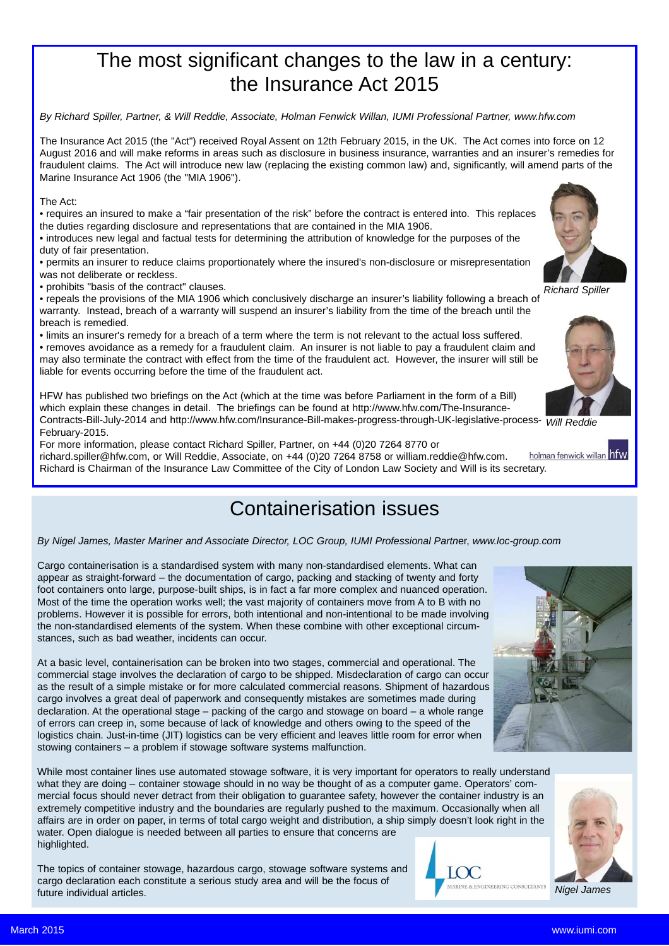### The most significant changes to the law in a century: the Insurance Act 2015

*By Richard Spiller, Partner, & Will Reddie, Associate, Holman Fenwick Willan, IUMI Professional Partner, www.hfw.com*

The Insurance Act 2015 (the "Act") received Royal Assent on 12th February 2015, in the UK. The Act comes into force on 12 August 2016 and will make reforms in areas such as disclosure in business insurance, warranties and an insurer's remedies for fraudulent claims. The Act will introduce new law (replacing the existing common law) and, significantly, will amend parts of the Marine Insurance Act 1906 (the "MIA 1906").

#### The Act:

• requires an insured to make a "fair presentation of the risk" before the contract is entered into. This replaces the duties regarding disclosure and representations that are contained in the MIA 1906.

• introduces new legal and factual tests for determining the attribution of knowledge for the purposes of the duty of fair presentation.

• permits an insurer to reduce claims proportionately where the insured's non-disclosure or misrepresentation was not deliberate or reckless.

• prohibits "basis of the contract" clauses.

• repeals the provisions of the MIA 1906 which conclusively discharge an insurer's liability following a breach of warranty. Instead, breach of a warranty will suspend an insurer's liability from the time of the breach until the breach is remedied.

• limits an insurer's remedy for a breach of a term where the term is not relevant to the actual loss suffered.

• removes avoidance as a remedy for a fraudulent claim. An insurer is not liable to pay a fraudulent claim and may also terminate the contract with effect from the time of the fraudulent act. However, the insurer will still be liable for events occurring before the time of the fraudulent act.

HFW has published two briefings on the Act (which at the time was before Parliament in the form of a Bill) which explain these changes in detail. The briefings can be found at http://www.hfw.com/The-Insurance-Contracts-Bill-July-2014 and http://www.hfw.com/Insurance-Bill-makes-progress-through-UK-legislative-process-*Will Reddie* February-2015.

For more information, please contact Richard Spiller, Partner, on +44 (0)20 7264 8770 or holman fenwick willan hfw richard.spiller@hfw.com, or Will Reddie, Associate, on +44 (0)20 7264 8758 or william.reddie@hfw.com. Richard is Chairman of the Insurance Law Committee of the City of London Law Society and Will is its secretary.

### Containerisation issues

### *By Nigel James, Master Mariner and Associate Director, LOC Group, IUMI Professional Partn*er, *www.loc-group.com*

Cargo containerisation is a standardised system with many non-standardised elements. What can appear as straight-forward – the documentation of cargo, packing and stacking of twenty and forty foot containers onto large, purpose-built ships, is in fact a far more complex and nuanced operation. Most of the time the operation works well; the vast majority of containers move from A to B with no problems. However it is possible for errors, both intentional and non-intentional to be made involving the non-standardised elements of the system. When these combine with other exceptional circumstances, such as bad weather, incidents can occur.

At a basic level, containerisation can be broken into two stages, commercial and operational. The commercial stage involves the declaration of cargo to be shipped. Misdeclaration of cargo can occur as the result of a simple mistake or for more calculated commercial reasons. Shipment of hazardous cargo involves a great deal of paperwork and consequently mistakes are sometimes made during declaration. At the operational stage – packing of the cargo and stowage on board – a whole range of errors can creep in, some because of lack of knowledge and others owing to the speed of the logistics chain. Just-in-time (JIT) logistics can be very efficient and leaves little room for error when stowing containers – a problem if stowage software systems malfunction.

While most container lines use automated stowage software, it is very important for operators to really understand what they are doing – container stowage should in no way be thought of as a computer game. Operators' commercial focus should never detract from their obligation to guarantee safety, however the container industry is an extremely competitive industry and the boundaries are regularly pushed to the maximum. Occasionally when all affairs are in order on paper, in terms of total cargo weight and distribution, a ship simply doesn't look right in the water. Open dialogue is needed between all parties to ensure that concerns are highlighted.

The topics of container stowage, hazardous cargo, stowage software systems and cargo declaration each constitute a serious study area and will be the focus of future individual articles.









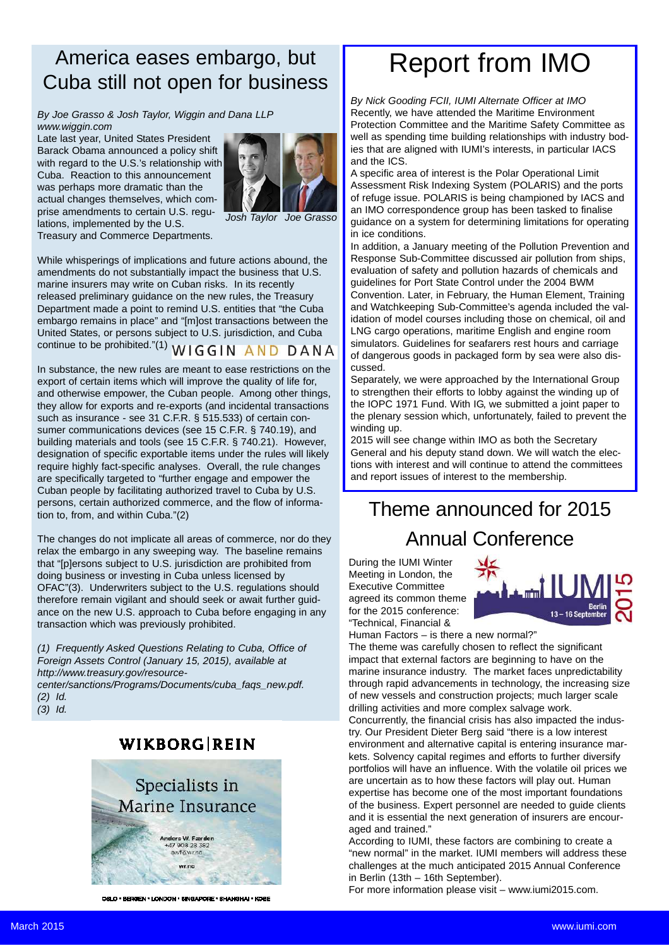### America eases embargo, but Cuba still not open for business

*By Joe Grasso & Josh Taylor, Wiggin and Dana LLP www.wiggin.com*

Late last year, United States President Barack Obama announced a policy shift with regard to the U.S.'s relationship with Cuba. Reaction to this announcement was perhaps more dramatic than the actual changes themselves, which comprise amendments to certain U.S. regulations, implemented by the U.S. Treasury and Commerce Departments.



*Josh Taylor Joe Grasso*

While whisperings of implications and future actions abound, the amendments do not substantially impact the business that U.S. marine insurers may write on Cuban risks. In its recently released preliminary guidance on the new rules, the Treasury Department made a point to remind U.S. entities that "the Cuba embargo remains in place" and "[m]ost transactions between the United States, or persons subject to U.S. jurisdiction, and Cuba continue to be prohibited."(1) WIGGIN AND DANA

In substance, the new rules are meant to ease restrictions on the export of certain items which will improve the quality of life for, and otherwise empower, the Cuban people. Among other things, they allow for exports and re-exports (and incidental transactions such as insurance - see 31 C.F.R. § 515.533) of certain consumer communications devices (see 15 C.F.R. § 740.19), and building materials and tools (see 15 C.F.R. § 740.21). However, designation of specific exportable items under the rules will likely require highly fact-specific analyses. Overall, the rule changes are specifically targeted to "further engage and empower the Cuban people by facilitating authorized travel to Cuba by U.S. persons, certain authorized commerce, and the flow of information to, from, and within Cuba."(2)

The changes do not implicate all areas of commerce, nor do they relax the embargo in any sweeping way. The baseline remains that "[p]ersons subject to U.S. jurisdiction are prohibited from doing business or investing in Cuba unless licensed by OFAC"(3). Underwriters subject to the U.S. regulations should therefore remain vigilant and should seek or await further guidance on the new U.S. approach to Cuba before engaging in any transaction which was previously prohibited.

*(1) Frequently Asked Questions Relating to Cuba, Office of Foreign Assets Control (January 15, 2015), available at http://www.treasury.gov/resource-*

*center/sanctions/Programs/Documents/cuba\_faqs\_new.pdf. (2) Id.*

*(3) Id.*

### WIKBORG REIN



OSLO \* BERGEN \* LONDON \* SINGAPORE \* SHANGHAI \* KOBE

## Report from IMO

*By Nick Gooding FCII, IUMI Alternate Officer at IMO* Recently, we have attended the Maritime Environment Protection Committee and the Maritime Safety Committee as well as spending time building relationships with industry bodies that are aligned with IUMI's interests, in particular IACS and the ICS.

A specific area of interest is the Polar Operational Limit Assessment Risk Indexing System (POLARIS) and the ports of refuge issue. POLARIS is being championed by IACS and an IMO correspondence group has been tasked to finalise guidance on a system for determining limitations for operating in ice conditions.

In addition, a January meeting of the Pollution Prevention and Response Sub-Committee discussed air pollution from ships, evaluation of safety and pollution hazards of chemicals and guidelines for Port State Control under the 2004 BWM Convention. Later, in February, the Human Element, Training and Watchkeeping Sub-Committee's agenda included the validation of model courses including those on chemical, oil and LNG cargo operations, maritime English and engine room simulators. Guidelines for seafarers rest hours and carriage of dangerous goods in packaged form by sea were also discussed.

Separately, we were approached by the International Group to strengthen their efforts to lobby against the winding up of the IOPC 1971 Fund. With IG, we submitted a joint paper to the plenary session which, unfortunately, failed to prevent the winding up.

2015 will see change within IMO as both the Secretary General and his deputy stand down. We will watch the elections with interest and will continue to attend the committees and report issues of interest to the membership.

## Theme announced for 2015 Annual Conference

During the IUMI Winter Meeting in London, the Executive Committee agreed its common theme for the 2015 conference: "Technical, Financial &



Human Factors – is there a new normal?"

The theme was carefully chosen to reflect the significant impact that external factors are beginning to have on the marine insurance industry. The market faces unpredictability through rapid advancements in technology, the increasing size of new vessels and construction projects; much larger scale drilling activities and more complex salvage work. Concurrently, the financial crisis has also impacted the industry. Our President Dieter Berg said "there is a low interest environment and alternative capital is entering insurance markets. Solvency capital regimes and efforts to further diversify portfolios will have an influence. With the volatile oil prices we are uncertain as to how these factors will play out. Human

expertise has become one of the most important foundations of the business. Expert personnel are needed to guide clients and it is essential the next generation of insurers are encouraged and trained."

According to IUMI, these factors are combining to create a "new normal" in the market. IUMI members will address these challenges at the much anticipated 2015 Annual Conference in Berlin (13th – 16th September).

For more information please visit – www.iumi2015.com.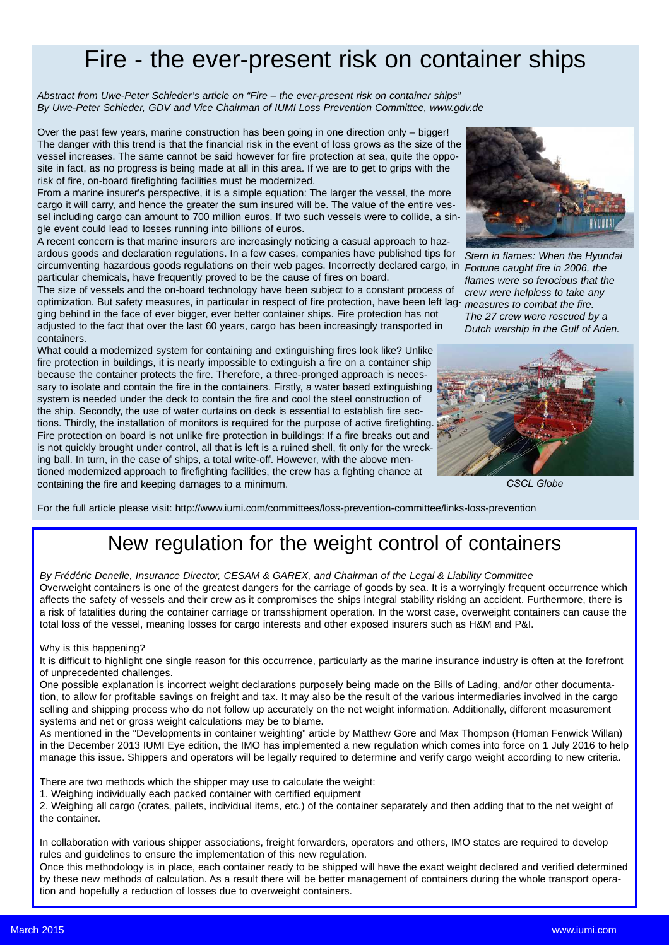## Fire - the ever-present risk on container ships

*Abstract from Uwe-Peter Schieder's article on "Fire – the ever-present risk on container ships" By Uwe-Peter Schieder, GDV and Vice Chairman of IUMI Loss Prevention Committee, www.gdv.de*

Over the past few years, marine construction has been going in one direction only – bigger! The danger with this trend is that the financial risk in the event of loss grows as the size of the vessel increases. The same cannot be said however for fire protection at sea, quite the opposite in fact, as no progress is being made at all in this area. If we are to get to grips with the risk of fire, on-board firefighting facilities must be modernized.

From a marine insurer's perspective, it is a simple equation: The larger the vessel, the more cargo it will carry, and hence the greater the sum insured will be. The value of the entire vessel including cargo can amount to 700 million euros. If two such vessels were to collide, a single event could lead to losses running into billions of euros.

A recent concern is that marine insurers are increasingly noticing a casual approach to hazardous goods and declaration regulations. In a few cases, companies have published tips for circumventing hazardous goods regulations on their web pages. Incorrectly declared cargo, in particular chemicals, have frequently proved to be the cause of fires on board.

The size of vessels and the on-board technology have been subject to a constant process of optimization. But safety measures, in particular in respect of fire protection, have been left lag-*measures to combat the fire.* ging behind in the face of ever bigger, ever better container ships. Fire protection has not adjusted to the fact that over the last 60 years, cargo has been increasingly transported in containers.

What could a modernized system for containing and extinguishing fires look like? Unlike fire protection in buildings, it is nearly impossible to extinguish a fire on a container ship because the container protects the fire. Therefore, a three-pronged approach is necessary to isolate and contain the fire in the containers. Firstly, a water based extinguishing system is needed under the deck to contain the fire and cool the steel construction of the ship. Secondly, the use of water curtains on deck is essential to establish fire sections. Thirdly, the installation of monitors is required for the purpose of active firefighting. Fire protection on board is not unlike fire protection in buildings: If a fire breaks out and is not quickly brought under control, all that is left is a ruined shell, fit only for the wrecking ball. In turn, in the case of ships, a total write-off. However, with the above mentioned modernized approach to firefighting facilities, the crew has a fighting chance at containing the fire and keeping damages to a minimum.



*Stern in flames: When the Hyundai Fortune caught fire in 2006, the flames were so ferocious that the crew were helpless to take any The 27 crew were rescued by a Dutch warship in the Gulf of Aden.*



*CSCL Globe*

For the full article please visit: http://www.iumi.com/committees/loss-prevention-committee/links-loss-prevention

### New regulation for the weight control of containers

*By Frédéric Denefle, Insurance Director, CESAM & GAREX, and Chairman of the Legal & Liability Committee* Overweight containers is one of the greatest dangers for the carriage of goods by sea. It is a worryingly frequent occurrence which affects the safety of vessels and their crew as it compromises the ships integral stability risking an accident. Furthermore, there is a risk of fatalities during the container carriage or transshipment operation. In the worst case, overweight containers can cause the total loss of the vessel, meaning losses for cargo interests and other exposed insurers such as H&M and P&I.

#### Why is this happening?

It is difficult to highlight one single reason for this occurrence, particularly as the marine insurance industry is often at the forefront of unprecedented challenges.

One possible explanation is incorrect weight declarations purposely being made on the Bills of Lading, and/or other documentation, to allow for profitable savings on freight and tax. It may also be the result of the various intermediaries involved in the cargo selling and shipping process who do not follow up accurately on the net weight information. Additionally, different measurement systems and net or gross weight calculations may be to blame.

As mentioned in the "Developments in container weighting" article by Matthew Gore and Max Thompson (Homan Fenwick Willan) in the December 2013 IUMI Eye edition, the IMO has implemented a new regulation which comes into force on 1 July 2016 to help manage this issue. Shippers and operators will be legally required to determine and verify cargo weight according to new criteria.

There are two methods which the shipper may use to calculate the weight:

1. Weighing individually each packed container with certified equipment

2. Weighing all cargo (crates, pallets, individual items, etc.) of the container separately and then adding that to the net weight of the container.

In collaboration with various shipper associations, freight forwarders, operators and others, IMO states are required to develop rules and guidelines to ensure the implementation of this new regulation.

Once this methodology is in place, each container ready to be shipped will have the exact weight declared and verified determined by these new methods of calculation. As a result there will be better management of containers during the whole transport operation and hopefully a reduction of losses due to overweight containers.